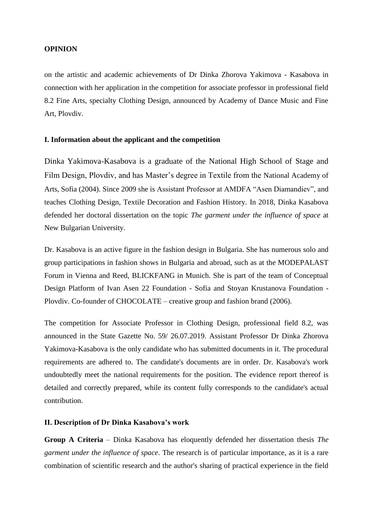## **OPINION**

on the artistic and academic achievements of Dr Dinka Zhorova Yakimova - Kasabova in connection with her application in the competition for associate professor in professional field 8.2 Fine Arts, specialty Clothing Design, announced by Academy of Dance Music and Fine Art, Plovdiv.

## **I. Information about the applicant and the competition**

Dinka Yakimova-Kasabova is a graduate of the National High School of Stage and Film Design, Plovdiv, and has Master's degree in Textile from the National Academy of Arts, Sofia (2004). Since 2009 she is Assistant Professor at AMDFA "Asen Diamandiev", and teaches Clothing Design, Textile Decoration and Fashion History. In 2018, Dinka Kasabova defended her doctoral dissertation on the topic *The garment under the influence of space* at New Bulgarian University.

Dr. Kasabova is an active figure in the fashion design in Bulgaria. She has numerous solo and group participations in fashion shows in Bulgaria and abroad, such as at the MODEPALAST Forum in Vienna and Reed, BLICKFANG in Munich. She is part of the team of Conceptual Design Platform of Ivan Asen 22 Foundation - Sofia and Stoyan Krustanova Foundation - Plovdiv. Co-founder of CHOCOLATE – creative group and fashion brand (2006).

The competition for Associate Professor in Clothing Design, professional field 8.2, was announced in the State Gazette No. 59/ 26.07.2019. Assistant Professor Dr Dinka Zhorova Yakimova-Kasabova is the only candidate who has submitted documents in it. The procedural requirements are adhered to. The candidate's documents are in order. Dr. Kasabova's work undoubtedly meet the national requirements for the position. The evidence report thereof is detailed and correctly prepared, while its content fully corresponds to the candidate's actual contribution.

## **II. Description of Dr Dinka Kasabova's work**

**Group A Criteria** – Dinka Kasabova has eloquently defended her dissertation thesis *The garment under the influence of space*. The research is of particular importance, as it is a rare combination of scientific research and the author's sharing of practical experience in the field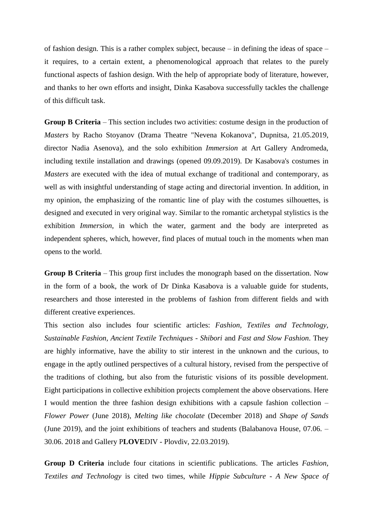of fashion design. This is a rather complex subject, because – in defining the ideas of space – it requires, to a certain extent, a phenomenological approach that relates to the purely functional aspects of fashion design. With the help of appropriate body of literature, however, and thanks to her own efforts and insight, Dinka Kasabova successfully tackles the challenge of this difficult task.

**Group B Criteria** – This section includes two activities: costume design in the production of *Masters* by Racho Stoyanov (Drama Theatre "Nevena Kokanova", Dupnitsa, 21.05.2019, director Nadia Asenova), and the solo exhibition *Immersion* at Art Gallery Andromeda, including textile installation and drawings (opened 09.09.2019). Dr Kasabova's costumes in *Masters* are executed with the idea of mutual exchange of traditional and contemporary, as well as with insightful understanding of stage acting and directorial invention. In addition, in my opinion, the emphasizing of the romantic line of play with the costumes silhouettes, is designed and executed in very original way. Similar to the romantic archetypal stylistics is the exhibition *Immersion*, in which the water, garment and the body are interpreted as independent spheres, which, however, find places of mutual touch in the moments when man opens to the world.

**Group B Criteria** – This group first includes the monograph based on the dissertation. Now in the form of a book, the work of Dr Dinka Kasabova is a valuable guide for students, researchers and those interested in the problems of fashion from different fields and with different creative experiences.

This section also includes four scientific articles: *Fashion, Textiles and Technology, Sustainable Fashion, Ancient Textile Techniques - Shibori* and *Fast and Slow Fashion*. They are highly informative, have the ability to stir interest in the unknown and the curious, to engage in the aptly outlined perspectives of a cultural history, revised from the perspective of the traditions of clothing, but also from the futuristic visions of its possible development. Eight participations in collective exhibition projects complement the above observations. Here I would mention the three fashion design exhibitions with a capsule fashion collection – *Flower Power* (June 2018), *Melting like chocolate* (December 2018) and *Shape of Sands* (June 2019), and the joint exhibitions of teachers and students (Balabanova House, 07.06. – 30.06. 2018 and Gallery P**LOVE**DIV - Plovdiv, 22.03.2019).

**Group D Criteria** include four citations in scientific publications. The articles *Fashion, Textiles and Technology* is cited two times, while *Hippie Subculture - A New Space of*